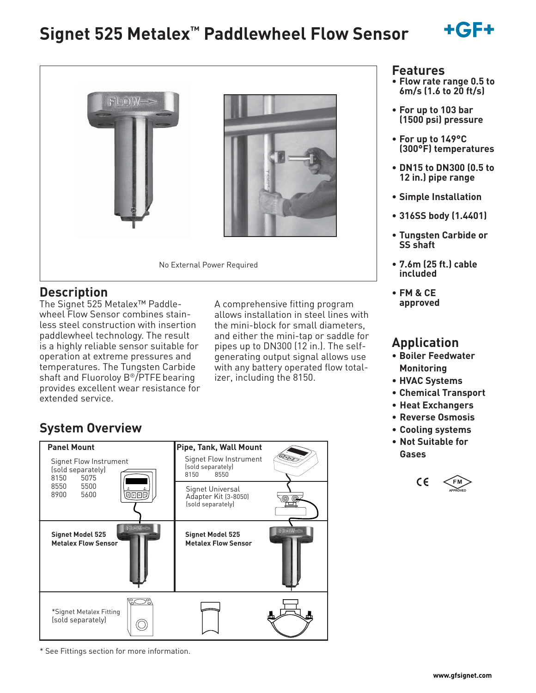# **Signet 525 Metalex™ Paddlewheel Flow Sensor**





### **Description**

The Signet 525 Metalex™ Paddlewheel Flow Sensor combines stainless steel construction with insertion paddlewheel technology. The result is a highly reliable sensor suitable for operation at extreme pressures and temperatures. The Tungsten Carbide shaft and Fluoroloy B®/PTFE bearing provides excellent wear resistance for extended service.

A comprehensive fitting program allows installation in steel lines with the mini-block for small diameters, and either the mini-tap or saddle for pipes up to DN300 (12 in.). The selfgenerating output signal allows use with any battery operated flow totalizer, including the 8150.

## **System Overview**



\* See Fittings section for more information.

### **Features**

- **Flow rate range 0.5 to 6m/s (1.6 to 20 ft/s)**
- **For up to 103 bar (1500 psi) pressure**
- **For up to 149°C (300°F) temperatures**
- **DN15 to DN300 (0.5 to 12 in.) pipe range**
- **Simple Installation**
- **316SS body (1.4401)**
- **Tungsten Carbide or SS shaft**
- **7.6m (25 ft.) cable included**
- **FM & CE approved**

### **Application**

- **Boiler Feedwater Monitoring**
- **HVAC Systems**
- **Chemical Transport**
- **Heat Exchangers**
- **Reverse Osmosis**
- **Cooling systems**
- **Not Suitable for Gases**